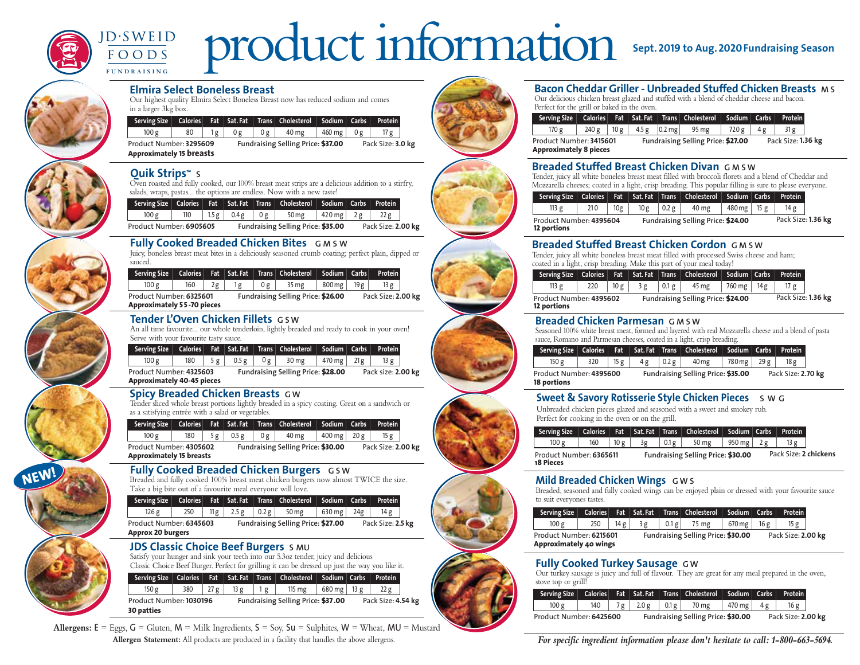

# product information **Sept. <sup>2019</sup> to Aug.2020Fundraising Season**



**NEW!**

#### **Elmira Select Boneless Breast**

Our highest quality Elmira Select Boneless Breast now has reduced sodium and comes in a larger 3kg box.

| Serving Size                                               |    |    |    |    | Calories Fat Sat. Fat Trans Cholesterol Sodium Carbs |                  |    | <b>Protein</b>    |  |
|------------------------------------------------------------|----|----|----|----|------------------------------------------------------|------------------|----|-------------------|--|
| 100 g                                                      | 80 | 1g | 0g | 0g | 40 mg                                                | $460$ mg $\vert$ | 0g | 17 g              |  |
| Product Number: 3295609<br><b>Approximately 15 breasts</b> |    |    |    |    | Fundraising Selling Price: \$37.00                   |                  |    | Pack Size: 3.0 kg |  |

#### **Quik Strips™ S**

Oven roasted and fully cooked, our 100% breast meat strips are a delicious addition to a stirfry, salads, wraps, pastas... the options are endless. Now with a new taste!

|                         |     |              |    | Serving Size   Calories   Fat   Sat. Fat   Trans   Cholesterol   Sodium   Carbs   Protein |             |                    |  |
|-------------------------|-----|--------------|----|-------------------------------------------------------------------------------------------|-------------|--------------------|--|
| 100 g                   | 110 | $1.5 g$ 0.4g | 0g | 50 <sub>mg</sub>                                                                          | 420 mg   2g | 22 g               |  |
| Product Number: 6905605 |     |              |    | Fundraising Selling Price: \$35.00                                                        |             | Pack Size: 2.00 kg |  |

# **Fully Cooked Breaded Chicken Bites G M S W**

Juicy, boneless breast meat bites in a deliciously seasoned crumb coating; perfect plain, dipped or sauced.

| Serving Size                                                 |     |    |     | Calories   Fat   Sat. Fat   Trans   Cholesterol   Sodium   Carbs |          |      | <b>Protein</b>     |  |
|--------------------------------------------------------------|-----|----|-----|------------------------------------------------------------------|----------|------|--------------------|--|
| 100 g                                                        | 160 | 2g | 0 g | 35 mg                                                            | 800 mg l | 19 g | 13 g               |  |
| Product Number: 6325601<br><b>Approximately 55-70 pieces</b> |     |    |     | Fundraising Selling Price: \$26.00                               |          |      | Pack Size: 2.00 kg |  |

#### **Tender L'Oven Chicken Fillets G S W**

An all time favourite... our whole tenderloin, lightly breaded and ready to cook in your oven! Serve with your favourite tasty sauce.

| Serving Size                                                 |     |       |      |    | Calories   Fat   Sat. Fat   Trans   Cholesterol   Sodium   Carbs   ' |                |     | <b>Protein</b>     |  |
|--------------------------------------------------------------|-----|-------|------|----|----------------------------------------------------------------------|----------------|-----|--------------------|--|
| 100 g                                                        | 180 | 5 $g$ | 0.5g | 0g | 30 mg                                                                | 470 mg $\vert$ | 21g | 13 g               |  |
| Product Number: 4325603<br><b>Approximately 40-45 pieces</b> |     |       |      |    | Fundraising Selling Price: \$28.00                                   |                |     | Pack size: 2.00 kg |  |

#### **Spicy Breaded Chicken Breasts G W**

Tender sliced whole breast portions lightly breaded in a spicy coating. Great on a sandwich or as a satisfying entrée with a salad or vegetables.

| Serving Size                                               |     |    |      |     | Calories Fat Sat. Fat Trans Cholesterol Sodium Carbs |                     | <b>Protein</b>     |  |
|------------------------------------------------------------|-----|----|------|-----|------------------------------------------------------|---------------------|--------------------|--|
| 100 g                                                      | 180 | 5g | 0.5g | 0 g | 40 mg                                                | 400 mg $\vert$ 20 g | 15 g               |  |
| Product Number: 4305602<br><b>Approximately 15 breasts</b> |     |    |      |     | Fundraising Selling Price: \$30.00                   |                     | Pack Size: 2.00 kg |  |

### **G S W Fully Cooked Breaded Chicken Burgers**

Breaded and fully cooked 100% breast meat chicken burgers now almost TWICE the size. Take a big bite out of a favourite meal everyone will love.

| Serving Size   Calories   Fat   Sat. Fat   Trans   Cholesterol   Sodium   Carbs   Protein |  |  |  |  |
|-------------------------------------------------------------------------------------------|--|--|--|--|
|                                                                                           |  |  |  |  |

Product Number: **6345603 Fundraising Selling Price: \$27.00** Pack Size: **2.5kg Approx 20 burgers**  $126 g$  250 11g 2.5g 0.2g 50 mg 630 mg 24g 14g

#### **JDS Classic Choice Beef Burgers S MU**

Satisfy your hunger and sink your teeth into our 5.3oz tender, juicy and delicious Classic Choice Beef Burger. Perfect for grilling it can be dressed up just the way you like it.

|                                              |     |     |     |    | Serving Size   Calories   Fat   Sat. Fat   Trans   Cholesterol   Sodium   Carbs   Protein |                         |                    |  |
|----------------------------------------------|-----|-----|-----|----|-------------------------------------------------------------------------------------------|-------------------------|--------------------|--|
| 150 g                                        | 380 | 27g | 13g | Ιg | 115 mg                                                                                    | $680 \text{ mg}$   13 g | 22 g               |  |
| Product Number: 1030196<br><b>30 patties</b> |     |     |     |    | Fundraising Selling Price: \$37.00                                                        |                         | Pack Size: 4.54 kg |  |

**Allergens:**  $E = Eggs$ ,  $G = Gluten$ ,  $M = Milk$  Ingredients,  $S = Sov$ ,  $Su = Subhites$ ,  $W = Wheat$ ,  $MU = Mustard$ **Allergen Statement:** All products are produced in a facility that handles the above allergens.



## **Bacon Cheddar Griller - Unbreaded Stuffed Chicken Breasts M S**

Our delicious chicken breast glazed and stuffed with a blend of cheddar cheese and bacon. Perfect for the grill or baked in the oven.

|                                                          |       |     |       |                    | Serving Size   Calories   Fat   Sat. Fat   Trans   Cholesterol   Sodium   Carbs |       |     | <b>Protein</b>     |  |
|----------------------------------------------------------|-------|-----|-------|--------------------|---------------------------------------------------------------------------------|-------|-----|--------------------|--|
| 170 g                                                    | 240 g | 10g | 4.5 g | $ 0.2 \text{ me} $ | 95 mg                                                                           | 720 g | 4 g |                    |  |
| Product Number: 3415601<br><b>Approximately 8 pieces</b> |       |     |       |                    | Fundraising Selling Price: \$27.00                                              |       |     | Pack Size: 1.36 kg |  |

#### **Breaded Stuffed Breast Chicken Divan G M S W**

Tender, juicy all white boneless breast meat filled with broccoli florets and a blend of Cheddar and Mozzarella cheeses; coated in a light, crisp breading. This popular filling is sure to please everyone.

|                                        |     |                 |      |       | Serving Size   Calories   Fat   Sat. Fat   Trans   Cholesterol   Sodium   Carbs   Protein |                            |                    |  |
|----------------------------------------|-----|-----------------|------|-------|-------------------------------------------------------------------------------------------|----------------------------|--------------------|--|
| 113 <sub>g</sub>                       | 210 | 10 <sub>g</sub> | 10 g | 0.2 g | 40 mg                                                                                     | $480 \,\mathrm{mg}$   15 g | 14 g               |  |
| Product Number: 4395604<br>12 portions |     |                 |      |       | <b>Fundraising Selling Price: \$24.00</b>                                                 |                            | Pack Size: 1.36 kg |  |

#### **Breaded Stuffed Breast Chicken Cordon G M S W**

Tender, juicy all white boneless breast meat filled with processed Swiss cheese and ham; coated in a light, crisp breading. Make this part of your meal today!

|                                        |     |      |    |       | Serving Size   Calories   Fat   Sat. Fat   Trans   Cholesterol   Sodium   Carbs   Protein |        |      |                    |  |
|----------------------------------------|-----|------|----|-------|-------------------------------------------------------------------------------------------|--------|------|--------------------|--|
| 113 <sub>g</sub>                       | 220 | 10 g | 3g | 0.1 g | 45 mg                                                                                     | 760 mg | 14 g | 17 $g$             |  |
| Product Number: 4395602<br>12 portions |     |      |    |       | Fundraising Selling Price: \$24.00                                                        |        |      | Pack Size: 1.36 kg |  |

#### **Breaded Chicken Parmesan G M S W**

Seasoned 100% white breast meat, formed and layered with real Mozzarella cheese and a blend of pasta sauce, Romano and Parmesan cheeses, coated in a light, crisp breading.

|                                        |     |     |     |       | Serving Size   Calories   Fat   Sat. Fat   Trans   Cholesterol   Sodium   Carbs   Protein |                   |     |                    |  |
|----------------------------------------|-----|-----|-----|-------|-------------------------------------------------------------------------------------------|-------------------|-----|--------------------|--|
| 150g                                   | 320 | 15g | 4 g | 0.2 g | 40 mg                                                                                     | 780 <sub>mg</sub> | 29g | 18g                |  |
| Product Number: 4395600<br>18 portions |     |     |     |       | Fundraising Selling Price: \$35.00                                                        |                   |     | Pack Size: 2.70 kg |  |

### **Sweet & Savory Rotisserie Style Chicken Pieces S W G**

Unbreaded chicken pieces glazed and seasoned with a sweet and smokey rub. Perfect for cooking in the oven or on the grill.

| Serving Size   Calories   Fat   Sat. Fat   Trans   Cholesterol   Sodium   Carbs   Protein |     |      |    |        |                                    |                    |                       |  |
|-------------------------------------------------------------------------------------------|-----|------|----|--------|------------------------------------|--------------------|-----------------------|--|
| 100 g                                                                                     | 160 | 10 g | 3g | $0.1g$ | 50 mg                              | 950 mg $\vert$ 2 g | 13 g                  |  |
| Product Number: 6365611<br><b>18 Pieces</b>                                               |     |      |    |        | Fundraising Selling Price: \$30.00 |                    | Pack Size: 2 chickens |  |

#### **Mild Breaded Chicken Wings G W S**

Breaded, seasoned and fully cooked wings can be enjoyed plain or dressed with your favourite sauce to suit everyones tastes.

| Serving Size                                      |     |     |                                    |         | Calories Fat Sat. Fat Trans Cholesterol Sodium Carbs |                    |     | <b>Protein</b> |  |
|---------------------------------------------------|-----|-----|------------------------------------|---------|------------------------------------------------------|--------------------|-----|----------------|--|
| 100 g                                             | 250 | 14g | 3g                                 | $0.1$ g | 75 mg                                                | 670 mg             | 16g | 15g            |  |
| Product Number: 6215601<br>Approximately 40 wings |     |     | Fundraising Selling Price: \$30.00 |         |                                                      | Pack Size: 2.00 kg |     |                |  |

### **Fully Cooked Turkey Sausage G W**

Our turkey sausage is juicy and full of flavour. They are great for any meal prepared in the oven, stove top or grill!

|                         |       |  |  |                                      |                                    | Serving Size   Calories   Fat   Sat. Fat   Trans Cholesterol   Sodium   Carbs   Protein |              |  |     |  |
|-------------------------|-------|--|--|--------------------------------------|------------------------------------|-----------------------------------------------------------------------------------------|--------------|--|-----|--|
|                         | 100 g |  |  | $140$   7g   2.0g $^{\circ}$<br>0.1g |                                    | 70 mg                                                                                   | 470 mg   4 g |  | 16g |  |
| Product Number: 6425600 |       |  |  |                                      | Fundraising Selling Price: \$30.00 | Pack Size: 2.00 kg                                                                      |              |  |     |  |

*For specific ingredient information please don't hesitate to call: 1-800-663-5694.*